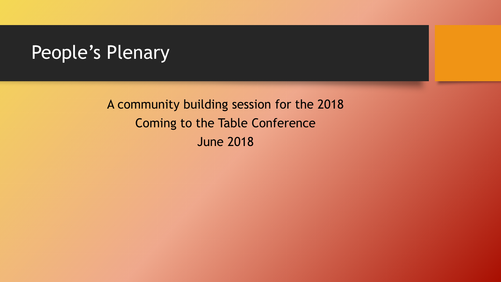#### People's Plenary

A community building session for the 2018 Coming to the Table Conference June 2018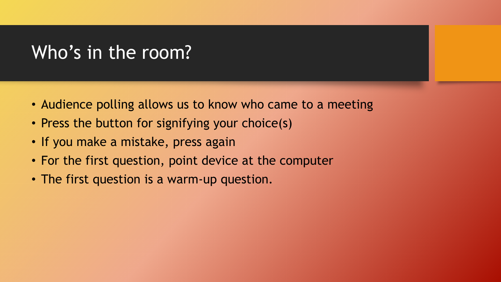## Who's in the room?

- Audience polling allows us to know who came to a meeting
- Press the button for signifying your choice(s)
- If you make a mistake, press again
- For the first question, point device at the computer
- The first question is a warm-up question.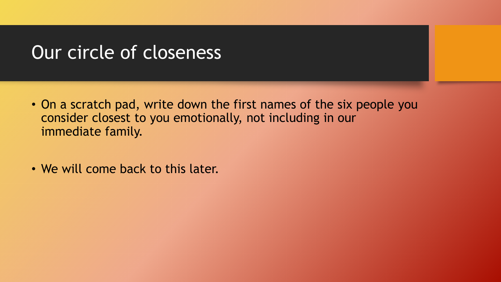#### Our circle of closeness

- On a scratch pad, write down the first names of the six people you consider closest to you emotionally, not including in our immediate family.
- We will come back to this later.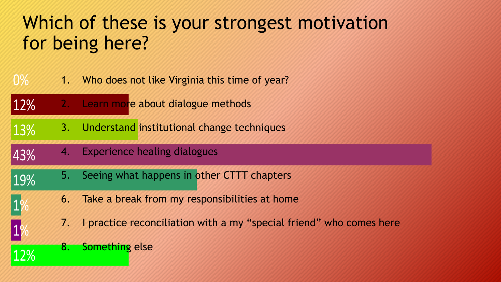# Which of these is your strongest motivation for being here?

- 0% 1. Who does not like Virginia this time of year?
- 12% 2. Learn more about dialogue methods
- 13% 3. Understand institutional change techniques
- 43% 4. Experience healing dialogues
- 19% 5. Seeing what happens in other CTTT chapters
	- 6. Take a break from my responsibilities at home
		- 7. I practice reconciliation with a my "special friend" who comes here
		- 8. Something else

12%

1%

1%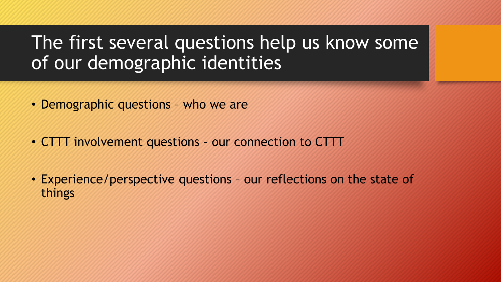#### The first several questions help us know some of our demographic identities

- Demographic questions who we are
- CTTT involvement questions our connection to CTTT
- Experience/perspective questions our reflections on the state of things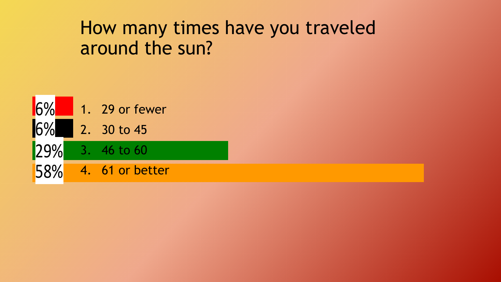## How many times have you traveled around the sun?

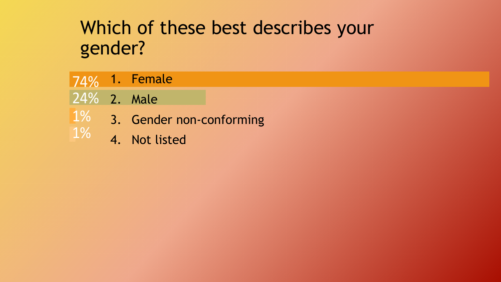# Which of these best describes your gender?

- 74% 1. Female
- 24% 2. Male
- 1% 3. Gender non-conforming
- 1% 4. Not listed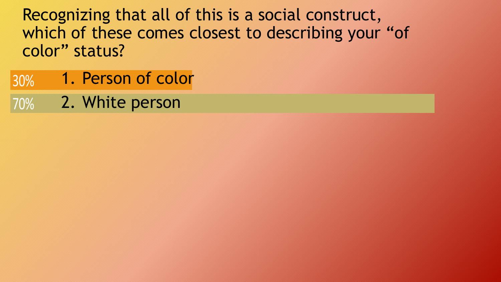Recognizing that all of this is a social construct, which of these comes closest to describing your "of color" status?

- 30% 1. Person of color
- 70% 2. White person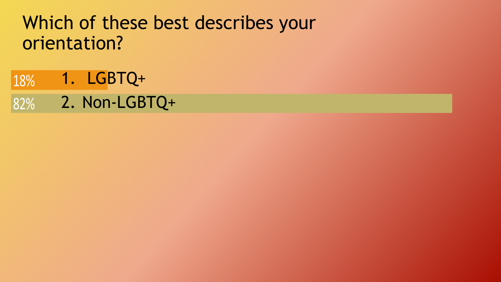## Which of these best describes your orientation?

82% 18% 1. LGBTQ+ 2. Non-LGBTQ+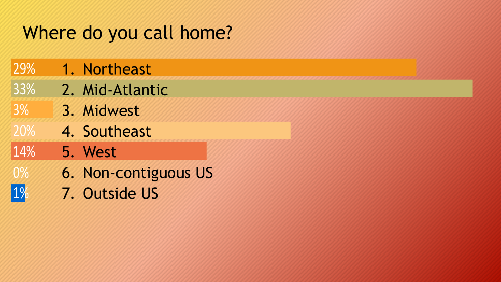# Where do you call home?

- 29% 1. Northeast
- 33% 2. Mid-Atlantic
- 3% 3. Midwest
- 20% 4. Southeast
- 14% 5. West
- 0% 6. Non-contiguous US
- 1% 7. Outside US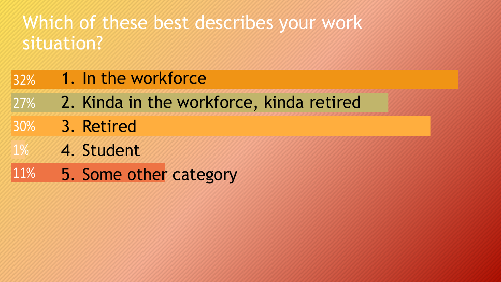# Which of these best describes your work situation?

#### 32% 1. In the workforce

- 27% 2. Kinda in the workforce, kinda retired
- 30% 3. Retired
- 1% 4. Student
- 11% 5. Some other category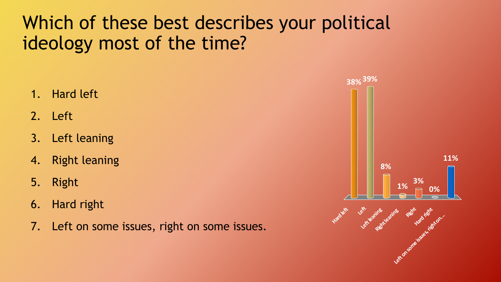# Which of these best describes your political ideology most of the time?

- 1. Hard left
- 2. Left
- 3. Left leaning
- 4. Right leaning
- 5. Right
- 6. Hard right
- 7. Left on some issues, right on some issues.

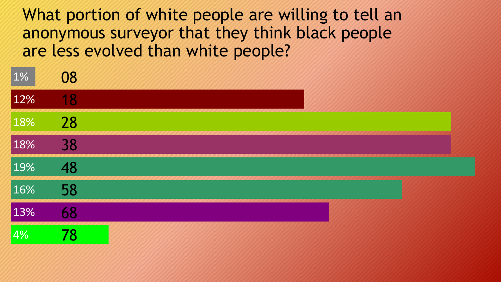What portion of white people are willing to tell an anonymous surveyor that they think black people are less evolved than white people?

| 1%  | 08 |  |  |  |  |
|-----|----|--|--|--|--|
| 12% | 18 |  |  |  |  |
| 18% | 28 |  |  |  |  |
| 18% | 38 |  |  |  |  |
| 19% | 48 |  |  |  |  |
| 16% | 58 |  |  |  |  |
| 13% | 68 |  |  |  |  |
| 4%  | 78 |  |  |  |  |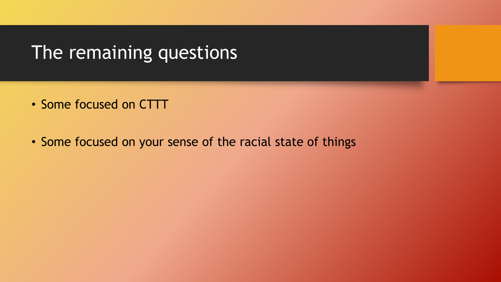#### The remaining questions

- Some focused on CTTT
- Some focused on your sense of the racial state of things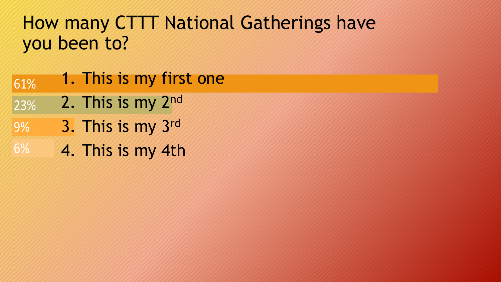# How many CTTT National Gatherings have you been to?

- 23% 61% 1. This is my first one 2. This is my 2<sup>nd</sup>
- 
- 9% 3. This is my 3rd
- 6% 4. This is my 4th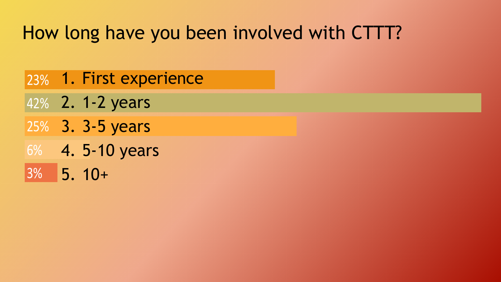# How long have you been involved with CTTT?

- 23% 1. First experience
- 42% 2. 1-2 years
- 25% 3. 3-5 years
- 6% 4. 5-10 years
- 3% 5. 10+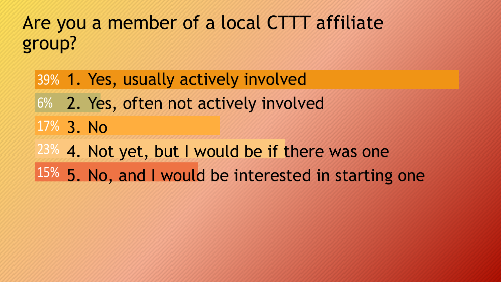# Are you a member of a local CTTT affiliate group?

# 23% 4. Not yet, but I would be if there was one 17% 3. No 6% 2. Yes, often not actively involved 39% 1. Yes, usually actively involved

15% 5. No, and I would be interested in starting one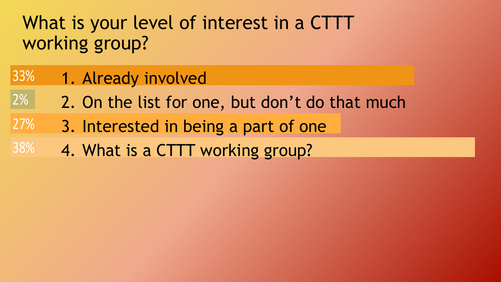# What is your level of interest in a CTTT working group?

#### 33% 1. Already involved

- 2% 2. On the list for one, but don't do that much
- 27% 3. Interested in being a part of one
- 38% 4. What is a CTTT working group?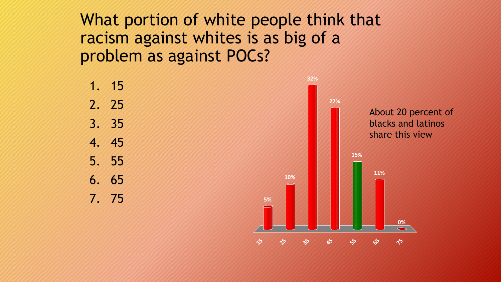What portion of white people think that racism against whites is as big of a problem as against POCs?

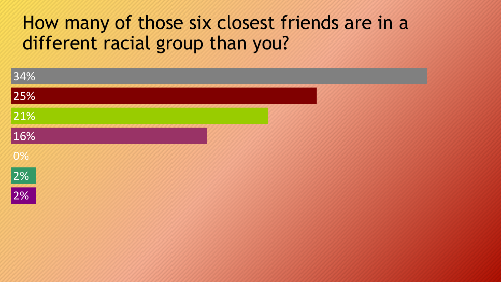## How many of those six closest friends are in a different racial group than you?

| 34%            |  |
|----------------|--|
| 25%            |  |
| 21%            |  |
| 16%            |  |
|                |  |
| 0%<br>2%<br>2% |  |
|                |  |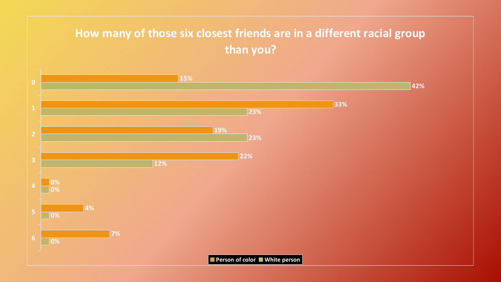#### **How many of those six closest friends are in a different racial group than you?**

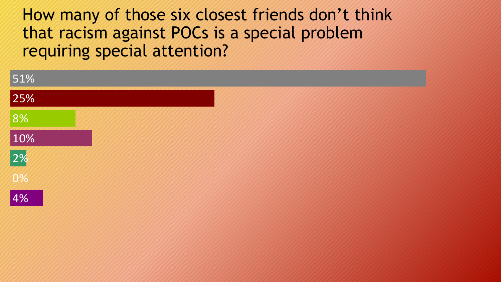How many of those six closest friends don't think that racism against POCs is a special problem requiring special attention?

| 51%                   |  |  |  |  |
|-----------------------|--|--|--|--|
| 25%                   |  |  |  |  |
|                       |  |  |  |  |
|                       |  |  |  |  |
|                       |  |  |  |  |
| 8%<br>10%<br>2%<br>0% |  |  |  |  |
| 4%                    |  |  |  |  |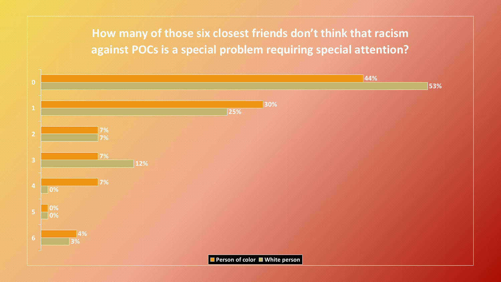#### **How many of those six closest friends don't think that racism against POCs is a special problem requiring special attention?**

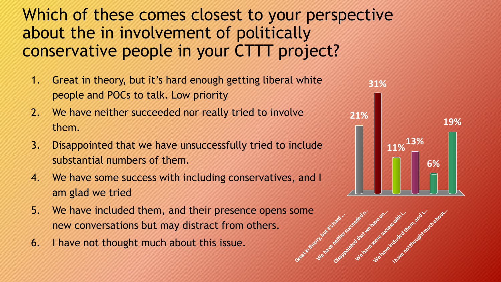#### Which of these comes closest to your perspective about the in involvement of politically conservative people in your CTTT project?

- 1. Great in theory, but it's hard enough getting liberal white people and POCs to talk. Low priority
- 2. We have neither succeeded nor really tried to involve them.
- 3. Disappointed that we have unsuccessfully tried to include substantial numbers of them.
- 4. We have some success with including conservatives, and I am glad we tried
- 5. We have included them, and their presence opens some new conversations but may distract from others.
- 6. I have not thought much about this issue.



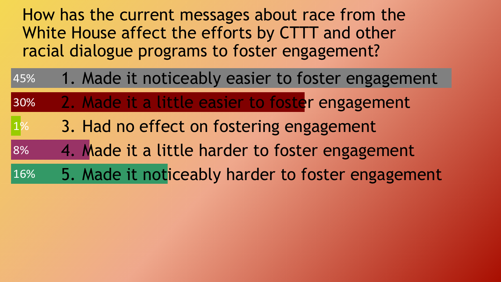How has the current messages about race from the White House affect the efforts by CTTT and other racial dialogue programs to foster engagement?

| 45% | 1. Made it noticeably easier to foster engagement |
|-----|---------------------------------------------------|
| 30% | 2. Made it a little easier to foster engagement   |
| 1%  | 3. Had no effect on fostering engagement          |
| 8%  | 4. Made it a little harder to foster engagement   |
| 16% | 5. Made it noticeably harder to foster engagement |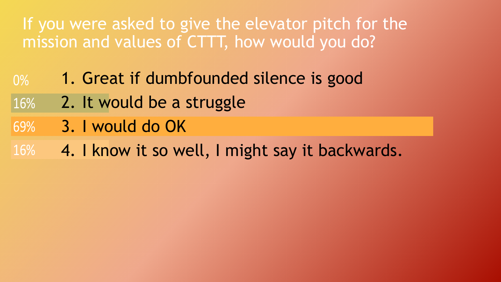#### If you were asked to give the elevator pitch for the mission and values of CTTT, how would you do?

- 0% 1. Great if dumbfounded silence is good
- 16% 2. It would be a struggle
- 69% 3. I would do OK
- 16% 4. I know it so well, I might say it backwards.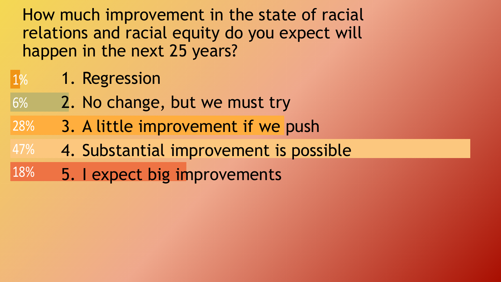How much improvement in the state of racial relations and racial equity do you expect will happen in the next 25 years?

#### 1% 1. Regression

- 6% 2. No change, but we must try
- 28% 3. A little improvement if we push
- 47% 4. Substantial improvement is possible
- 18% 5. I expect big improvements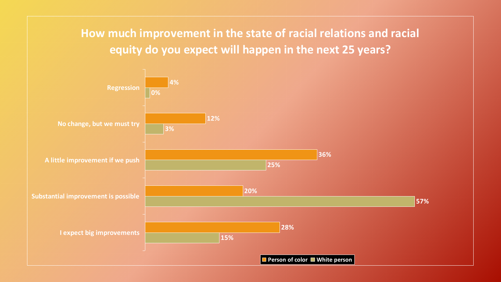